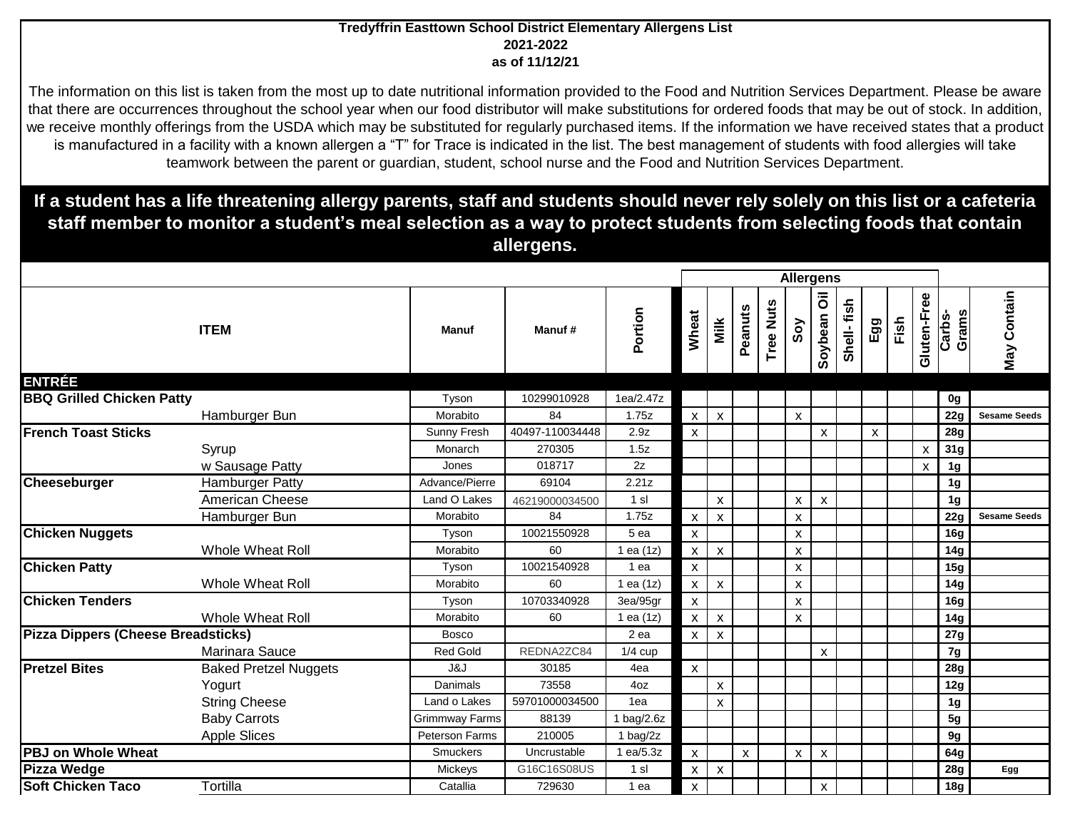## **Tredyffrin Easttown School District Elementary Allergens List 2021-2022 as of 11/12/21**

The information on this list is taken from the most up to date nutritional information provided to the Food and Nutrition Services Department. Please be aware that there are occurrences throughout the school year when our food distributor will make substitutions for ordered foods that may be out of stock. In addition, we receive monthly offerings from the USDA which may be substituted for regularly purchased items. If the information we have received states that a product is manufactured in a facility with a known allergen a "T" for Trace is indicated in the list. The best management of students with food allergies will take teamwork between the parent or guardian, student, school nurse and the Food and Nutrition Services Department.

**If a student has a life threatening allergy parents, staff and students should never rely solely on this list or a cafeteria staff member to monitor a student's meal selection as a way to protect students from selecting foods that contain allergens.** 

|                                           |                              |                       |                 |                  | <b>Allergens</b>          |                           |         |                     |                           |                                          |            |              |      |                    |                 |                     |
|-------------------------------------------|------------------------------|-----------------------|-----------------|------------------|---------------------------|---------------------------|---------|---------------------|---------------------------|------------------------------------------|------------|--------------|------|--------------------|-----------------|---------------------|
|                                           | <b>ITEM</b>                  | <b>Manuf</b>          | Manuf#          | Portion          | Wheat                     | Milk                      | Peanuts | <b>Nuts</b><br>Tree | Soy                       | $\overline{\overline{\circ}}$<br>Soybean | Shell-fish | Egg          | Fish | Gluten-Free        | Carbs-<br>Grams | May Contain         |
| <b>ENTRÉE</b>                             |                              |                       |                 |                  |                           |                           |         |                     |                           |                                          |            |              |      |                    |                 |                     |
| <b>BBQ Grilled Chicken Patty</b>          |                              | Tyson                 | 10299010928     | 1ea/2.47z        |                           |                           |         |                     |                           |                                          |            |              |      |                    | 0g              |                     |
|                                           | Hamburger Bun                | Morabito              | 84              | 1.75z            | $\mathsf{x}$              | $\boldsymbol{\mathsf{x}}$ |         |                     | $\pmb{\chi}$              |                                          |            |              |      |                    | 22g             | <b>Sesame Seeds</b> |
| <b>French Toast Sticks</b>                |                              | Sunny Fresh           | 40497-110034448 | 2.9z             | $\mathsf{x}$              |                           |         |                     |                           | X                                        |            | $\mathsf{x}$ |      |                    | 28g             |                     |
|                                           | Syrup                        | Monarch               | 270305          | 1.5z             |                           |                           |         |                     |                           |                                          |            |              |      | $\pmb{\mathsf{X}}$ | 31g             |                     |
|                                           | w Sausage Patty              | Jones                 | 018717          | 2z               |                           |                           |         |                     |                           |                                          |            |              |      | X                  | 1 <sub>g</sub>  |                     |
| Cheeseburger                              | <b>Hamburger Patty</b>       | Advance/Pierre        | 69104           | 2.21z            |                           |                           |         |                     |                           |                                          |            |              |      |                    | 1 <sub>g</sub>  |                     |
|                                           | American Cheese              | Land O Lakes          | 46219000034500  | 1 s <sub>l</sub> |                           | X                         |         |                     | X                         | X                                        |            |              |      |                    | 1 <sub>g</sub>  |                     |
|                                           | Hamburger Bun                | Morabito              | 84              | 1.75z            | $\boldsymbol{\mathsf{x}}$ | $\mathsf{x}$              |         |                     | X                         |                                          |            |              |      |                    | 22g             | <b>Sesame Seeds</b> |
| <b>Chicken Nuggets</b>                    |                              | Tyson                 | 10021550928     | 5 ea             | $\mathsf{x}$              |                           |         |                     | X                         |                                          |            |              |      |                    | 16 <sub>g</sub> |                     |
|                                           | Whole Wheat Roll             | Morabito              | 60              | 1 ea (1z)        | $\mathsf{x}$              | X                         |         |                     | X                         |                                          |            |              |      |                    | 14g             |                     |
| <b>Chicken Patty</b>                      |                              | Tyson                 | 10021540928     | 1 ea             | $\mathsf{x}$              |                           |         |                     | $\pmb{\chi}$              |                                          |            |              |      |                    | 15g             |                     |
|                                           | <b>Whole Wheat Roll</b>      | Morabito              | 60              | 1 ea (1z)        | $\mathsf{X}$              | $\boldsymbol{\mathsf{X}}$ |         |                     | $\boldsymbol{\mathsf{x}}$ |                                          |            |              |      |                    | 14g             |                     |
| <b>Chicken Tenders</b>                    |                              | Tyson                 | 10703340928     | 3ea/95gr         | $\boldsymbol{\mathsf{x}}$ |                           |         |                     | X                         |                                          |            |              |      |                    | 16 <sub>g</sub> |                     |
|                                           | Whole Wheat Roll             | Morabito              | 60              | 1 ea $(1z)$      | $\mathsf{x}$              | $\pmb{\mathsf{X}}$        |         |                     | $\pmb{\chi}$              |                                          |            |              |      |                    | 14g             |                     |
| <b>Pizza Dippers (Cheese Breadsticks)</b> |                              | <b>Bosco</b>          |                 | 2 <sub>ea</sub>  | $\mathsf{x}$              | X                         |         |                     |                           |                                          |            |              |      |                    | 27g             |                     |
|                                           | Marinara Sauce               | <b>Red Gold</b>       | REDNA2ZC84      | $1/4$ cup        |                           |                           |         |                     |                           | $\boldsymbol{\mathsf{x}}$                |            |              |      |                    | 7g              |                     |
| <b>Pretzel Bites</b>                      | <b>Baked Pretzel Nuggets</b> | J&J                   | 30185           | 4ea              | $\mathsf{x}$              |                           |         |                     |                           |                                          |            |              |      |                    | 28g             |                     |
|                                           | Yogurt                       | Danimals              | 73558           | 4oz              |                           | X                         |         |                     |                           |                                          |            |              |      |                    | 12g             |                     |
|                                           | <b>String Cheese</b>         | Land o Lakes          | 59701000034500  | 1ea              |                           | $\pmb{\mathsf{X}}$        |         |                     |                           |                                          |            |              |      |                    | 1 <sub>g</sub>  |                     |
|                                           | <b>Baby Carrots</b>          | Grimmway Farms        | 88139           | 1 $bag/2.6z$     |                           |                           |         |                     |                           |                                          |            |              |      |                    | 5g              |                     |
|                                           | <b>Apple Slices</b>          | <b>Peterson Farms</b> | 210005          | 1 $bag/2z$       |                           |                           |         |                     |                           |                                          |            |              |      |                    | 9g              |                     |
| <b>PBJ on Whole Wheat</b>                 |                              | Smuckers              | Uncrustable     | 1 ea/5.3z        | $\mathsf{x}$              |                           | X       |                     | X                         | $\boldsymbol{\mathsf{X}}$                |            |              |      |                    | 64g             |                     |
| <b>Pizza Wedge</b>                        |                              | Mickeys               | G16C16S08US     | 1 sl             | $\mathsf{x}$              | $\boldsymbol{\mathsf{X}}$ |         |                     |                           |                                          |            |              |      |                    | <b>28g</b>      | Egg                 |
| <b>Soft Chicken Taco</b>                  | Tortilla                     | Catallia              | 729630          | 1 ea             | $\mathsf{x}$              |                           |         |                     |                           | X                                        |            |              |      |                    | 18g             |                     |
|                                           |                              |                       |                 |                  |                           |                           |         |                     |                           |                                          |            |              |      |                    |                 |                     |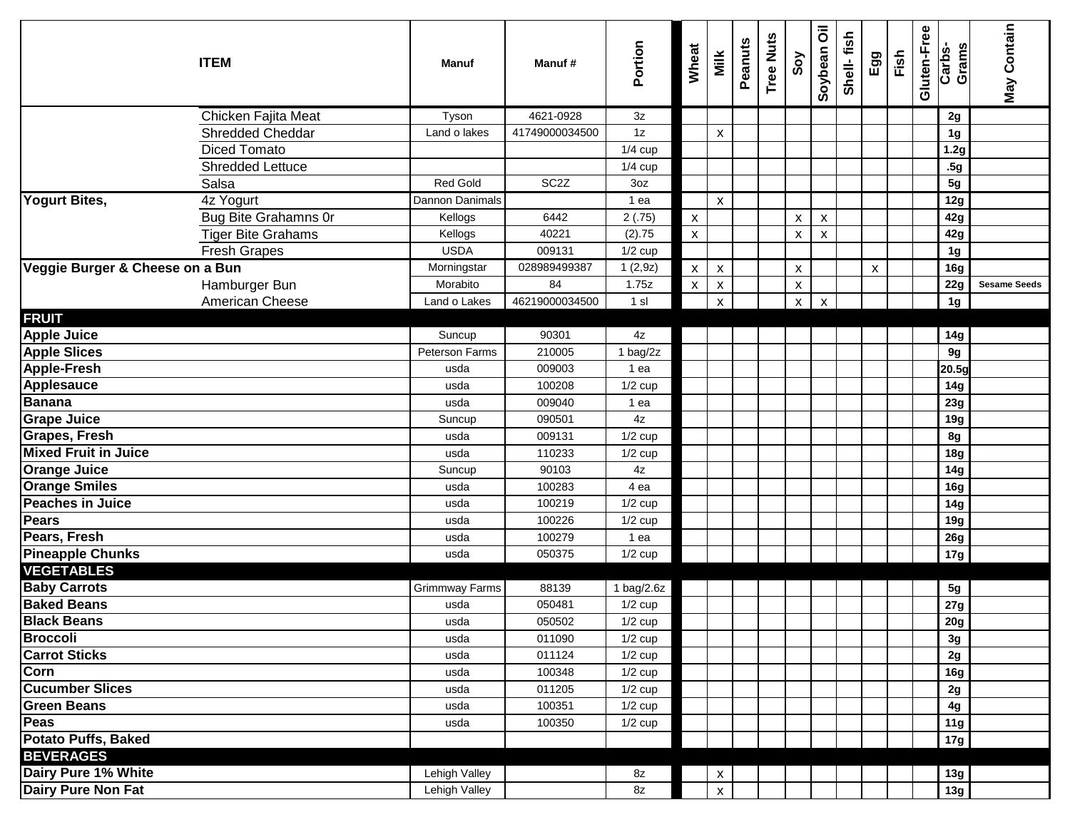|                                 | <b>ITEM</b>                 | Manuf           | Manuf#            | Portion       | Wheat              | Milk               | Peanuts | <b>Tree Nuts</b> | Soy                       | Soybean Oil               | Shell-fish | Egg                | Fish | Gluten-Free | Grams<br>Carbs- | May Contain         |
|---------------------------------|-----------------------------|-----------------|-------------------|---------------|--------------------|--------------------|---------|------------------|---------------------------|---------------------------|------------|--------------------|------|-------------|-----------------|---------------------|
|                                 | Chicken Fajita Meat         | Tyson           | 4621-0928         | 3z            |                    |                    |         |                  |                           |                           |            |                    |      |             | 2g              |                     |
|                                 | <b>Shredded Cheddar</b>     | Land o lakes    | 41749000034500    | 1z            |                    | X                  |         |                  |                           |                           |            |                    |      |             | 1g              |                     |
|                                 | <b>Diced Tomato</b>         |                 |                   | $1/4$ cup     |                    |                    |         |                  |                           |                           |            |                    |      |             | 1.2g            |                     |
|                                 | <b>Shredded Lettuce</b>     |                 |                   | $1/4$ cup     |                    |                    |         |                  |                           |                           |            |                    |      |             | .5g             |                     |
|                                 | Salsa                       | Red Gold        | SC <sub>2</sub> Z | 3oz           |                    |                    |         |                  |                           |                           |            |                    |      |             | 5g              |                     |
| <b>Yogurt Bites,</b>            | 4z Yogurt                   | Dannon Danimals |                   | 1 ea          |                    | X                  |         |                  |                           |                           |            |                    |      |             | 12g             |                     |
|                                 | <b>Bug Bite Grahamns Or</b> | Kellogs         | 6442              | 2(.75)        | $\pmb{\mathsf{X}}$ |                    |         |                  | X                         | X                         |            |                    |      |             | 42g             |                     |
|                                 | <b>Tiger Bite Grahams</b>   | Kellogs         | 40221             | (2).75        | $\mathsf X$        |                    |         |                  | $\boldsymbol{\mathsf{x}}$ | X                         |            |                    |      |             | 42g             |                     |
|                                 | <b>Fresh Grapes</b>         | <b>USDA</b>     | 009131            | $1/2$ cup     |                    |                    |         |                  |                           |                           |            |                    |      |             | 1g              |                     |
| Veggie Burger & Cheese on a Bun |                             | Morningstar     | 028989499387      | 1(2,9z)       | $\mathsf{x}$       | $\pmb{\mathsf{x}}$ |         |                  | $\pmb{\mathsf{X}}$        |                           |            | $\pmb{\mathsf{x}}$ |      |             | 16g             |                     |
|                                 | Hamburger Bun               | Morabito        | 84                | 1.75z         | $\mathsf X$        | $\pmb{\mathsf{X}}$ |         |                  | $\boldsymbol{\mathsf{X}}$ |                           |            |                    |      |             | 22g             | <b>Sesame Seeds</b> |
|                                 | American Cheese             | Land o Lakes    | 46219000034500    | 1 sl          |                    | $\pmb{\mathsf{x}}$ |         |                  | $\boldsymbol{\mathsf{x}}$ | $\boldsymbol{\mathsf{x}}$ |            |                    |      |             | 1 <sub>g</sub>  |                     |
| <b>FRUIT</b>                    |                             |                 |                   |               |                    |                    |         |                  |                           |                           |            |                    |      |             |                 |                     |
| <b>Apple Juice</b>              |                             | Suncup          | 90301             | 4z            |                    |                    |         |                  |                           |                           |            |                    |      |             | 14g             |                     |
| <b>Apple Slices</b>             |                             | Peterson Farms  | 210005            | 1 bag/2z      |                    |                    |         |                  |                           |                           |            |                    |      |             | 9g              |                     |
| <b>Apple-Fresh</b>              |                             | usda            | 009003            | 1 ea          |                    |                    |         |                  |                           |                           |            |                    |      |             | 20.5g           |                     |
| Applesauce                      |                             | usda            | 100208            | $1/2$ cup     |                    |                    |         |                  |                           |                           |            |                    |      |             | 14g             |                     |
| <b>Banana</b>                   |                             | usda            | 009040            | 1 ea          |                    |                    |         |                  |                           |                           |            |                    |      |             | 23g             |                     |
| <b>Grape Juice</b>              |                             | Suncup          | 090501            | 4z            |                    |                    |         |                  |                           |                           |            |                    |      |             | 19g             |                     |
| Grapes, Fresh                   |                             | usda            | 009131            | $1/2$ cup     |                    |                    |         |                  |                           |                           |            |                    |      |             | 8g              |                     |
| <b>Mixed Fruit in Juice</b>     |                             | usda            | 110233            | $1/2$ cup     |                    |                    |         |                  |                           |                           |            |                    |      |             | 18 <sub>g</sub> |                     |
| <b>Orange Juice</b>             |                             | Suncup          | 90103             | 4z            |                    |                    |         |                  |                           |                           |            |                    |      |             | 14g             |                     |
| <b>Orange Smiles</b>            |                             | usda            | 100283            | 4 ea          |                    |                    |         |                  |                           |                           |            |                    |      |             | 16g             |                     |
| <b>Peaches in Juice</b>         |                             | usda            | 100219            | $1/2$ cup     |                    |                    |         |                  |                           |                           |            |                    |      |             | 14g             |                     |
| Pears                           |                             | usda            | 100226            | $1/2$ cup     |                    |                    |         |                  |                           |                           |            |                    |      |             | 19g             |                     |
| Pears, Fresh                    |                             | usda            | 100279            | 1 ea          |                    |                    |         |                  |                           |                           |            |                    |      |             | 26g             |                     |
| <b>Pineapple Chunks</b>         |                             | usda            | 050375            | $1/2$ cup     |                    |                    |         |                  |                           |                           |            |                    |      |             | 17g             |                     |
| <b>VEGETABLES</b>               |                             |                 |                   |               |                    |                    |         |                  |                           |                           |            |                    |      |             |                 |                     |
| <b>Baby Carrots</b>             |                             | Grimmway Farms  | 88139             | 1 $bag/2.6z$  |                    |                    |         |                  |                           |                           |            |                    |      |             | 5g              |                     |
| <b>Baked Beans</b>              |                             | usda            | 050481            | $1/2$ cup     |                    |                    |         |                  |                           |                           |            |                    |      |             | 27g             |                     |
| <b>Black Beans</b>              |                             | usda            | 050502            | $1/2$ cup     |                    |                    |         |                  |                           |                           |            |                    |      |             | 20g             |                     |
| <b>Broccoli</b>                 |                             | usda            | 011090            | $1/2$ cup     |                    |                    |         |                  |                           |                           |            |                    |      |             | 3g              |                     |
| <b>Carrot Sticks</b>            |                             | usda            | 011124            | $1/2$ cup     |                    |                    |         |                  |                           |                           |            |                    |      |             | 2g              |                     |
| Corn                            |                             | usda            | 100348            | $1/2$ cup     |                    |                    |         |                  |                           |                           |            |                    |      |             | 16g             |                     |
| <b>Cucumber Slices</b>          |                             | usda            | 011205            | $1/2$ cup     |                    |                    |         |                  |                           |                           |            |                    |      |             | 2g              |                     |
| <b>Green Beans</b>              |                             | usda            | 100351            | $1/2$ cup     |                    |                    |         |                  |                           |                           |            |                    |      |             | 4g              |                     |
| Peas                            |                             | usda            | 100350            | $1/2$ cup     |                    |                    |         |                  |                           |                           |            |                    |      |             | 11g             |                     |
| <b>Potato Puffs, Baked</b>      |                             |                 |                   |               |                    |                    |         |                  |                           |                           |            |                    |      |             | 17g             |                     |
| <b>BEVERAGES</b>                |                             |                 |                   |               |                    |                    |         |                  |                           |                           |            |                    |      |             |                 |                     |
| Dairy Pure 1% White             |                             | Lehigh Valley   |                   | 8z            |                    | X                  |         |                  |                           |                           |            |                    |      |             | 13g             |                     |
| Dairy Pure Non Fat              |                             | Lehigh Valley   |                   | $8\mathsf{z}$ |                    | $\mathsf X$        |         |                  |                           |                           |            |                    |      |             | 13g             |                     |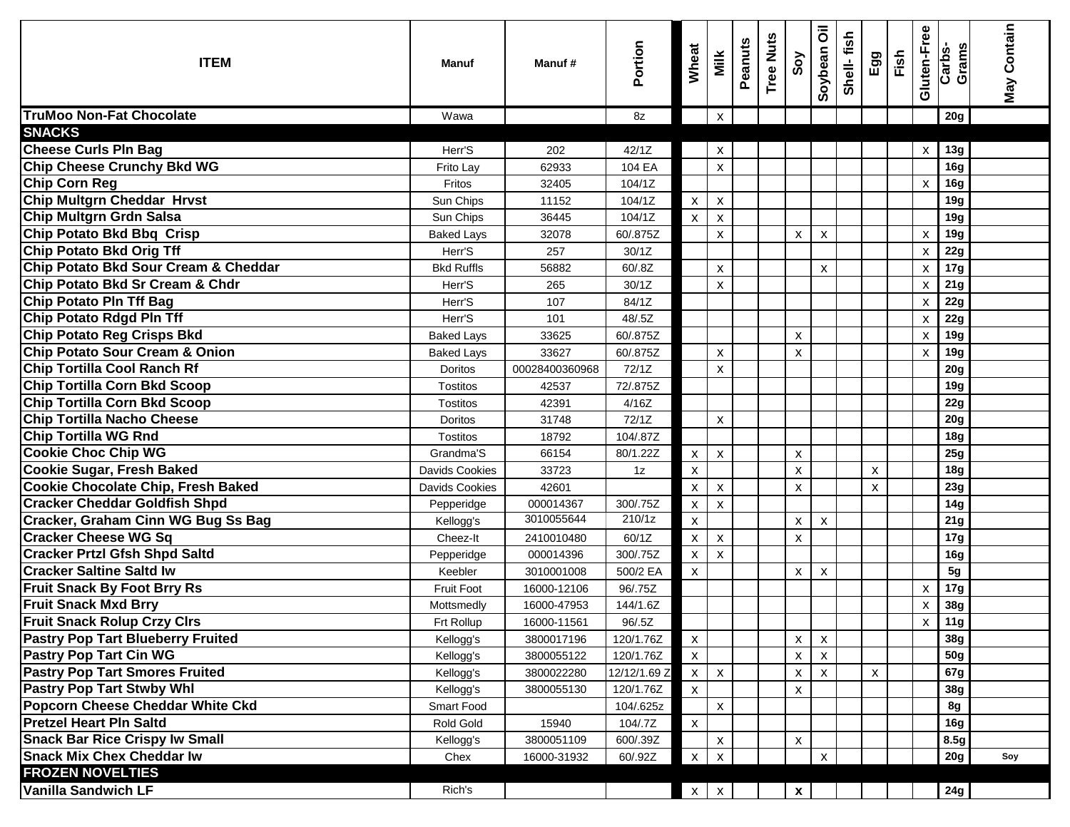| <b>ITEM</b>                                                  | Manuf                 | Manuf#         | Portion      | Wheat              | Milk                      | Peanuts | <b>Tree Nuts</b> | Soy                       | $\overline{\overline{\textbf{o}}}$<br>Soybean | Shell-fish | Egg | Fish | Gluten-Free               | Carbs-<br>Grams | <b>May Contain</b> |
|--------------------------------------------------------------|-----------------------|----------------|--------------|--------------------|---------------------------|---------|------------------|---------------------------|-----------------------------------------------|------------|-----|------|---------------------------|-----------------|--------------------|
| <b>TruMoo Non-Fat Chocolate</b>                              | Wawa                  |                | 8z           |                    | X                         |         |                  |                           |                                               |            |     |      |                           | 20g             |                    |
| <b>SNACKS</b>                                                |                       |                |              |                    |                           |         |                  |                           |                                               |            |     |      |                           |                 |                    |
| <b>Cheese Curls PIn Bag</b>                                  | Herr'S                | 202            | 42/1Z        |                    | X                         |         |                  |                           |                                               |            |     |      | X                         | 13g             |                    |
| <b>Chip Cheese Crunchy Bkd WG</b>                            | Frito Lay             | 62933          | 104 EA       |                    | X                         |         |                  |                           |                                               |            |     |      |                           | 16g             |                    |
| <b>Chip Corn Reg</b>                                         | Fritos                | 32405          | 104/1Z       |                    |                           |         |                  |                           |                                               |            |     |      | $\boldsymbol{\mathsf{x}}$ | <b>16g</b>      |                    |
| <b>Chip Multgrn Cheddar Hrvst</b>                            | Sun Chips             | 11152          | 104/1Z       | $\pmb{\mathsf{X}}$ | X                         |         |                  |                           |                                               |            |     |      |                           | 19g             |                    |
| <b>Chip Multgrn Grdn Salsa</b>                               | Sun Chips             | 36445          | 104/1Z       | $\pmb{\mathsf{X}}$ | $\pmb{\mathsf{X}}$        |         |                  |                           |                                               |            |     |      |                           | 19g             |                    |
| <b>Chip Potato Bkd Bbq Crisp</b>                             | <b>Baked Lays</b>     | 32078          | 60/.875Z     |                    | $\pmb{\mathsf{x}}$        |         |                  | X                         | X                                             |            |     |      | $\boldsymbol{\mathsf{x}}$ | 19g             |                    |
| <b>Chip Potato Bkd Orig Tff</b>                              | Herr'S                | 257            | 30/1Z        |                    |                           |         |                  |                           |                                               |            |     |      | $\boldsymbol{\mathsf{x}}$ | 22g             |                    |
| Chip Potato Bkd Sour Cream & Cheddar                         | <b>Bkd Ruffls</b>     | 56882          | 60/.8Z       |                    | $\mathsf{x}$              |         |                  |                           | X                                             |            |     |      | х                         | 17g             |                    |
| Chip Potato Bkd Sr Cream & Chdr                              | Herr'S                | 265            | 30/1Z        |                    | $\pmb{\mathsf{x}}$        |         |                  |                           |                                               |            |     |      | X                         | 21g             |                    |
| <b>Chip Potato PIn Tff Bag</b>                               | Herr'S                | 107            | 84/1Z        |                    |                           |         |                  |                           |                                               |            |     |      | X                         | 22g             |                    |
| <b>Chip Potato Rdgd PIn Tff</b>                              | Herr'S                | 101            | 48/.5Z       |                    |                           |         |                  |                           |                                               |            |     |      | х                         | 22g             |                    |
| Chip Potato Reg Crisps Bkd<br>Chip Potato Sour Cream & Onion | <b>Baked Lays</b>     | 33625          | 60/.875Z     |                    |                           |         |                  | X                         |                                               |            |     |      | X                         | 19g             |                    |
|                                                              | <b>Baked Lays</b>     | 33627          | 60/.875Z     |                    | X                         |         |                  | X                         |                                               |            |     |      | X                         | 19g             |                    |
| <b>Chip Tortilla Cool Ranch Rf</b>                           | Doritos               | 00028400360968 | 72/1Z        |                    | X                         |         |                  |                           |                                               |            |     |      |                           | 20g             |                    |
| <b>Chip Tortilla Corn Bkd Scoop</b>                          | Tostitos              | 42537          | 72/.875Z     |                    |                           |         |                  |                           |                                               |            |     |      |                           | 19g             |                    |
| <b>Chip Tortilla Corn Bkd Scoop</b>                          | <b>Tostitos</b>       | 42391          | 4/16Z        |                    |                           |         |                  |                           |                                               |            |     |      |                           | 22g             |                    |
| <b>Chip Tortilla Nacho Cheese</b>                            | Doritos               | 31748          | 72/1Z        |                    | X                         |         |                  |                           |                                               |            |     |      |                           | 20 <sub>g</sub> |                    |
| Chip Tortilla WG Rnd                                         | Tostitos              | 18792          | 104/.87Z     |                    |                           |         |                  |                           |                                               |            |     |      |                           | 18g             |                    |
| <b>Cookie Choc Chip WG</b>                                   | Grandma'S             | 66154          | 80/1.22Z     | $\mathsf{X}^-$     | $\boldsymbol{\mathsf{X}}$ |         |                  | X                         |                                               |            |     |      |                           | 25g             |                    |
| <b>Cookie Sugar, Fresh Baked</b>                             | Davids Cookies        | 33723          | 1z           | $\pmb{\mathsf{X}}$ |                           |         |                  | X                         |                                               |            | X   |      |                           | 18 <sub>g</sub> |                    |
| <b>Cookie Chocolate Chip, Fresh Baked</b>                    | <b>Davids Cookies</b> | 42601          |              | $\pmb{\mathsf{X}}$ | $\pmb{\mathsf{X}}$        |         |                  | $\boldsymbol{\mathsf{X}}$ |                                               |            | X   |      |                           | 23g             |                    |
| <b>Cracker Cheddar Goldfish Shpd</b>                         | Pepperidge            | 000014367      | 300/.75Z     | $\mathsf{x}$       | $\pmb{\mathsf{x}}$        |         |                  |                           |                                               |            |     |      |                           | 14g             |                    |
| <b>Cracker, Graham Cinn WG Bug Ss Bag</b>                    | Kellogg's             | 3010055644     | 210/1z       | $\pmb{\mathsf{x}}$ |                           |         |                  | X                         | $\pmb{\chi}$                                  |            |     |      |                           | 21g             |                    |
| <b>Cracker Cheese WG Sq</b>                                  | Cheez-It              | 2410010480     | 60/1Z        | $\pmb{\mathsf{X}}$ | $\pmb{\mathsf{X}}$        |         |                  | X                         |                                               |            |     |      |                           | 17g             |                    |
| <b>Cracker Prtzl Gfsh Shpd Saltd</b>                         | Pepperidge            | 000014396      | 300/.75Z     | $\pmb{\mathsf{X}}$ | X                         |         |                  |                           |                                               |            |     |      |                           | 16g             |                    |
| <b>Cracker Saltine Saltd Iw</b>                              | Keebler               | 3010001008     | 500/2 EA     | X                  |                           |         |                  | X                         | X                                             |            |     |      |                           | 5g              |                    |
| <b>Fruit Snack By Foot Brry Rs</b>                           | <b>Fruit Foot</b>     | 16000-12106    | 96/.75Z      |                    |                           |         |                  |                           |                                               |            |     |      | х                         | 17g             |                    |
| <b>Fruit Snack Mxd Brry</b>                                  | Mottsmedly            | 16000-47953    | 144/1.6Z     |                    |                           |         |                  |                           |                                               |            |     |      | $\boldsymbol{\mathsf{x}}$ | 38g             |                    |
| <b>Fruit Snack Rolup Crzy Cirs</b>                           | Frt Rollup            | 16000-11561    | 96/.5Z       |                    |                           |         |                  |                           |                                               |            |     |      | X                         | 11g             |                    |
| <b>Pastry Pop Tart Blueberry Fruited</b>                     | Kellogg's             | 3800017196     | 120/1.76Z    | $\mathsf X$        |                           |         |                  | $\pmb{\mathsf{x}}$        | $\pmb{\mathsf{x}}$                            |            |     |      |                           | 38g             |                    |
| <b>Pastry Pop Tart Cin WG</b>                                | Kellogg's             | 3800055122     | 120/1.76Z    | $\mathsf X$        |                           |         |                  | X                         | X                                             |            |     |      |                           | 50g             |                    |
| <b>Pastry Pop Tart Smores Fruited</b>                        | Kellogg's             | 3800022280     | 12/12/1.69 Z | $x \mid$           | $\pmb{\chi}$              |         |                  | X                         | $\pmb{\mathsf{X}}$                            |            | X   |      |                           | 67g             |                    |
| <b>Pastry Pop Tart Stwby Whl</b>                             | Kellogg's             | 3800055130     | 120/1.76Z    | $\mathsf X$        |                           |         |                  | X                         |                                               |            |     |      |                           | 38g             |                    |
| <b>Popcorn Cheese Cheddar White Ckd</b>                      | Smart Food            |                | 104/.625z    |                    | $\pmb{\mathsf{X}}$        |         |                  |                           |                                               |            |     |      |                           | 8g              |                    |
| <b>Pretzel Heart PIn Saltd</b>                               | Rold Gold             | 15940          | 104/.7Z      | $\mathsf X$        |                           |         |                  |                           |                                               |            |     |      |                           | 16g             |                    |
| <b>Snack Bar Rice Crispy Iw Small</b>                        | Kellogg's             | 3800051109     | 600/.39Z     |                    | X                         |         |                  | X                         |                                               |            |     |      |                           | 8.5g            |                    |
| <b>Snack Mix Chex Cheddar Iw</b>                             | Chex                  | 16000-31932    | 60/.92Z      | X                  | $\boldsymbol{\mathsf{x}}$ |         |                  |                           | X                                             |            |     |      |                           | 20g             | Soy                |
| <b>FROZEN NOVELTIES</b>                                      |                       |                |              |                    |                           |         |                  |                           |                                               |            |     |      |                           |                 |                    |
| <b>Vanilla Sandwich LF</b>                                   | Rich's                |                |              |                    | $x \mid x$                |         |                  | $\mathbf{x}$              |                                               |            |     |      |                           | 24g             |                    |